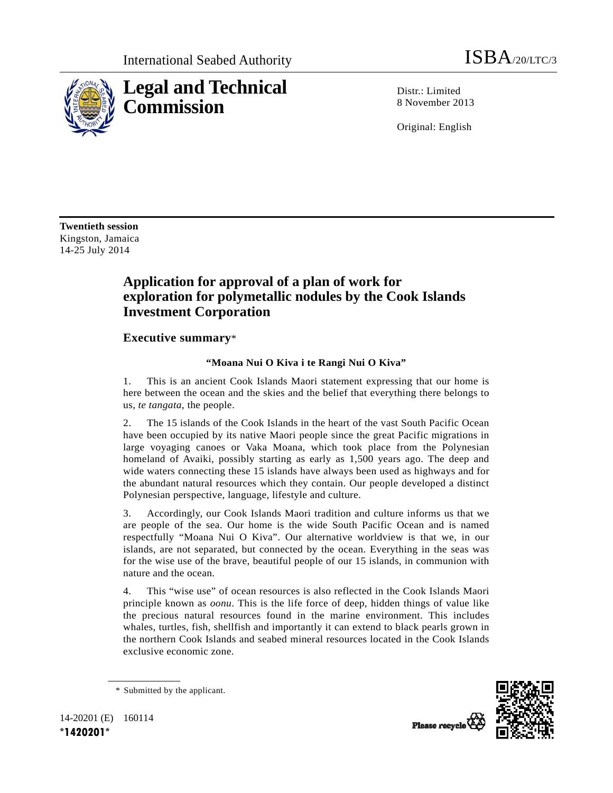

Distr · Limited 8 November 2013

Original: English

**Twentieth session**  Kingston, Jamaica 14-25 July 2014

## **Application for approval of a plan of work for exploration for polymetallic nodules by the Cook Islands Investment Corporation**

## **Executive summary**\*

## **"Moana Nui O Kiva i te Rangi Nui O Kiva"**

1. This is an ancient Cook Islands Maori statement expressing that our home is here between the ocean and the skies and the belief that everything there belongs to us, *te tangata*, the people.

2. The 15 islands of the Cook Islands in the heart of the vast South Pacific Ocean have been occupied by its native Maori people since the great Pacific migrations in large voyaging canoes or Vaka Moana, which took place from the Polynesian homeland of Avaiki, possibly starting as early as 1,500 years ago. The deep and wide waters connecting these 15 islands have always been used as highways and for the abundant natural resources which they contain. Our people developed a distinct Polynesian perspective, language, lifestyle and culture.

3. Accordingly, our Cook Islands Maori tradition and culture informs us that we are people of the sea. Our home is the wide South Pacific Ocean and is named respectfully "Moana Nui O Kiva". Our alternative worldview is that we, in our islands, are not separated, but connected by the ocean. Everything in the seas was for the wise use of the brave, beautiful people of our 15 islands, in communion with nature and the ocean.

4. This "wise use" of ocean resources is also reflected in the Cook Islands Maori principle known as *oonu*. This is the life force of deep, hidden things of value like the precious natural resources found in the marine environment. This includes whales, turtles, fish, shellfish and importantly it can extend to black pearls grown in the northern Cook Islands and seabed mineral resources located in the Cook Islands exclusive economic zone.



Please recycle

 <sup>\*</sup> Submitted by the applicant.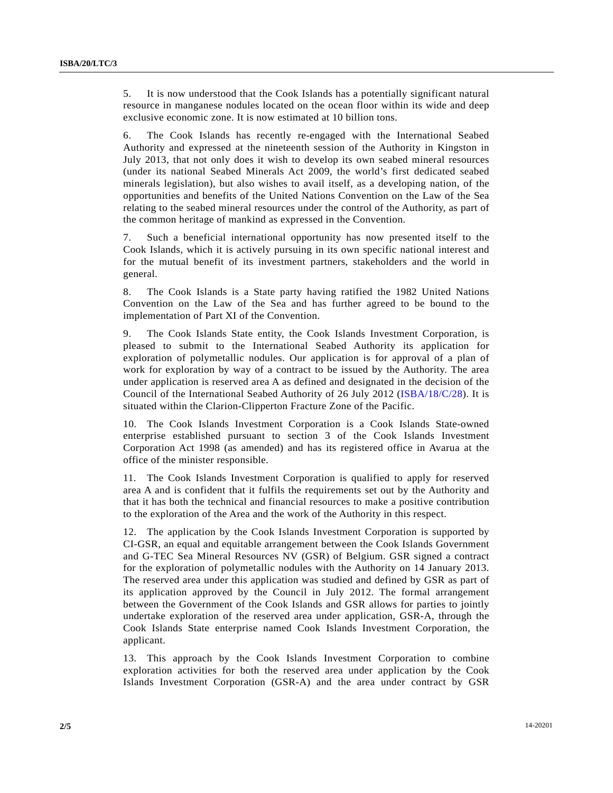5. It is now understood that the Cook Islands has a potentially significant natural resource in manganese nodules located on the ocean floor within its wide and deep exclusive economic zone. It is now estimated at 10 billion tons.

6. The Cook Islands has recently re-engaged with the International Seabed Authority and expressed at the nineteenth session of the Authority in Kingston in July 2013, that not only does it wish to develop its own seabed mineral resources (under its national Seabed Minerals Act 2009, the world's first dedicated seabed minerals legislation), but also wishes to avail itself, as a developing nation, of the opportunities and benefits of the United Nations Convention on the Law of the Sea relating to the seabed mineral resources under the control of the Authority, as part of the common heritage of mankind as expressed in the Convention.

7. Such a beneficial international opportunity has now presented itself to the Cook Islands, which it is actively pursuing in its own specific national interest and for the mutual benefit of its investment partners, stakeholders and the world in general.

8. The Cook Islands is a State party having ratified the 1982 United Nations Convention on the Law of the Sea and has further agreed to be bound to the implementation of Part XI of the Convention.

9. The Cook Islands State entity, the Cook Islands Investment Corporation, is pleased to submit to the International Seabed Authority its application for exploration of polymetallic nodules. Our application is for approval of a plan of work for exploration by way of a contract to be issued by the Authority. The area under application is reserved area A as defined and designated in the decision of the Council of the International Seabed Authority of 26 July 2012 (ISBA/18/C/28). It is situated within the Clarion-Clipperton Fracture Zone of the Pacific.

10. The Cook Islands Investment Corporation is a Cook Islands State-owned enterprise established pursuant to section 3 of the Cook Islands Investment Corporation Act 1998 (as amended) and has its registered office in Avarua at the office of the minister responsible.

11. The Cook Islands Investment Corporation is qualified to apply for reserved area A and is confident that it fulfils the requirements set out by the Authority and that it has both the technical and financial resources to make a positive contribution to the exploration of the Area and the work of the Authority in this respect.

12. The application by the Cook Islands Investment Corporation is supported by CI-GSR, an equal and equitable arrangement between the Cook Islands Government and G-TEC Sea Mineral Resources NV (GSR) of Belgium. GSR signed a contract for the exploration of polymetallic nodules with the Authority on 14 January 2013. The reserved area under this application was studied and defined by GSR as part of its application approved by the Council in July 2012. The formal arrangement between the Government of the Cook Islands and GSR allows for parties to jointly undertake exploration of the reserved area under application, GSR-A, through the Cook Islands State enterprise named Cook Islands Investment Corporation, the applicant.

13. This approach by the Cook Islands Investment Corporation to combine exploration activities for both the reserved area under application by the Cook Islands Investment Corporation (GSR-A) and the area under contract by GSR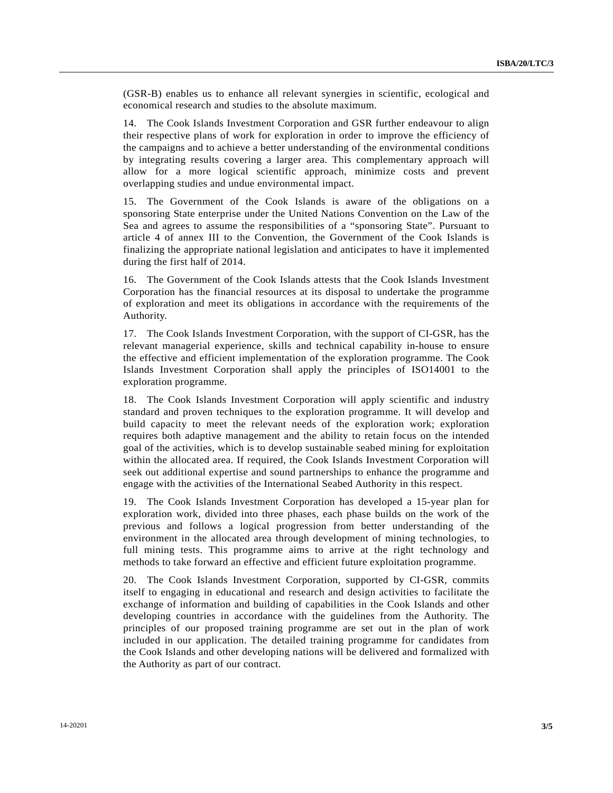(GSR-B) enables us to enhance all relevant synergies in scientific, ecological and economical research and studies to the absolute maximum.

14. The Cook Islands Investment Corporation and GSR further endeavour to align their respective plans of work for exploration in order to improve the efficiency of the campaigns and to achieve a better understanding of the environmental conditions by integrating results covering a larger area. This complementary approach will allow for a more logical scientific approach, minimize costs and prevent overlapping studies and undue environmental impact.

15. The Government of the Cook Islands is aware of the obligations on a sponsoring State enterprise under the United Nations Convention on the Law of the Sea and agrees to assume the responsibilities of a "sponsoring State". Pursuant to article 4 of annex III to the Convention, the Government of the Cook Islands is finalizing the appropriate national legislation and anticipates to have it implemented during the first half of 2014.

16. The Government of the Cook Islands attests that the Cook Islands Investment Corporation has the financial resources at its disposal to undertake the programme of exploration and meet its obligations in accordance with the requirements of the Authority.

17. The Cook Islands Investment Corporation, with the support of CI-GSR, has the relevant managerial experience, skills and technical capability in-house to ensure the effective and efficient implementation of the exploration programme. The Cook Islands Investment Corporation shall apply the principles of ISO14001 to the exploration programme.

18. The Cook Islands Investment Corporation will apply scientific and industry standard and proven techniques to the exploration programme. It will develop and build capacity to meet the relevant needs of the exploration work; exploration requires both adaptive management and the ability to retain focus on the intended goal of the activities, which is to develop sustainable seabed mining for exploitation within the allocated area. If required, the Cook Islands Investment Corporation will seek out additional expertise and sound partnerships to enhance the programme and engage with the activities of the International Seabed Authority in this respect.

19. The Cook Islands Investment Corporation has developed a 15-year plan for exploration work, divided into three phases, each phase builds on the work of the previous and follows a logical progression from better understanding of the environment in the allocated area through development of mining technologies, to full mining tests. This programme aims to arrive at the right technology and methods to take forward an effective and efficient future exploitation programme.

20. The Cook Islands Investment Corporation, supported by CI-GSR, commits itself to engaging in educational and research and design activities to facilitate the exchange of information and building of capabilities in the Cook Islands and other developing countries in accordance with the guidelines from the Authority. The principles of our proposed training programme are set out in the plan of work included in our application. The detailed training programme for candidates from the Cook Islands and other developing nations will be delivered and formalized with the Authority as part of our contract.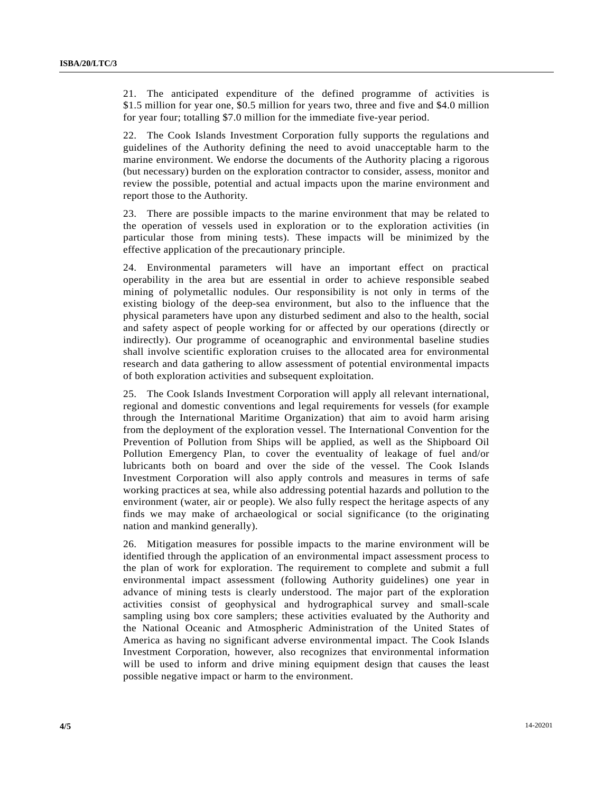21. The anticipated expenditure of the defined programme of activities is \$1.5 million for year one, \$0.5 million for years two, three and five and \$4.0 million for year four; totalling \$7.0 million for the immediate five-year period.

22. The Cook Islands Investment Corporation fully supports the regulations and guidelines of the Authority defining the need to avoid unacceptable harm to the marine environment. We endorse the documents of the Authority placing a rigorous (but necessary) burden on the exploration contractor to consider, assess, monitor and review the possible, potential and actual impacts upon the marine environment and report those to the Authority.

23. There are possible impacts to the marine environment that may be related to the operation of vessels used in exploration or to the exploration activities (in particular those from mining tests). These impacts will be minimized by the effective application of the precautionary principle.

24. Environmental parameters will have an important effect on practical operability in the area but are essential in order to achieve responsible seabed mining of polymetallic nodules. Our responsibility is not only in terms of the existing biology of the deep-sea environment, but also to the influence that the physical parameters have upon any disturbed sediment and also to the health, social and safety aspect of people working for or affected by our operations (directly or indirectly). Our programme of oceanographic and environmental baseline studies shall involve scientific exploration cruises to the allocated area for environmental research and data gathering to allow assessment of potential environmental impacts of both exploration activities and subsequent exploitation.

25. The Cook Islands Investment Corporation will apply all relevant international, regional and domestic conventions and legal requirements for vessels (for example through the International Maritime Organization) that aim to avoid harm arising from the deployment of the exploration vessel. The International Convention for the Prevention of Pollution from Ships will be applied, as well as the Shipboard Oil Pollution Emergency Plan, to cover the eventuality of leakage of fuel and/or lubricants both on board and over the side of the vessel. The Cook Islands Investment Corporation will also apply controls and measures in terms of safe working practices at sea, while also addressing potential hazards and pollution to the environment (water, air or people). We also fully respect the heritage aspects of any finds we may make of archaeological or social significance (to the originating nation and mankind generally).

26. Mitigation measures for possible impacts to the marine environment will be identified through the application of an environmental impact assessment process to the plan of work for exploration. The requirement to complete and submit a full environmental impact assessment (following Authority guidelines) one year in advance of mining tests is clearly understood. The major part of the exploration activities consist of geophysical and hydrographical survey and small-scale sampling using box core samplers; these activities evaluated by the Authority and the National Oceanic and Atmospheric Administration of the United States of America as having no significant adverse environmental impact. The Cook Islands Investment Corporation, however, also recognizes that environmental information will be used to inform and drive mining equipment design that causes the least possible negative impact or harm to the environment.